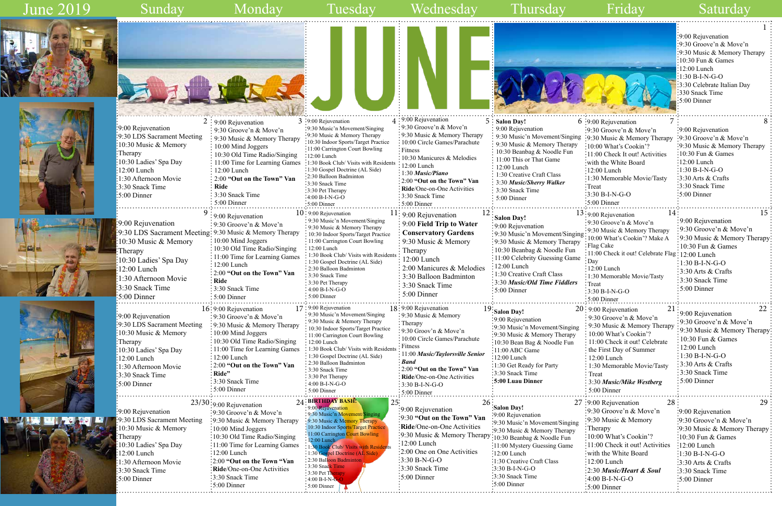: 2:30 Balloon Badmin 3:30 Snack Time 3:30 Pet Th  $4:00 B-I-N$ 5:00 Dinner



1:30 Afternoon Movie 3:30 Snack Time 5:00 Dinner

|         |                                                 | :9:00 Rejuvenation           |
|---------|-------------------------------------------------|------------------------------|
|         |                                                 | :9:30 Groove'n $\&$ Move'n   |
|         |                                                 | :9:30 Music & Memory Therapy |
|         |                                                 | $10:30$ Fun & Games          |
|         |                                                 | $12:00$ Lunch                |
|         |                                                 | $:1:30 B-I-N-G-O$            |
|         |                                                 | 3:30 Celebrate Italian Day   |
|         |                                                 | :330 Snack Time              |
|         |                                                 | :5:00 Dinner                 |
|         |                                                 |                              |
|         | 7<br>6 :9:00 Rejuvenation                       | 8                            |
|         | $: 9:30$ Groove'n & Move'n                      | 9:00 Rejuvenation            |
| ing     | :9:30 Music & Memory Therapy                    | 9:30 Groove'n & Move'n       |
| у       | $\cdot 10:00$ What's Cookin'?                   | 9:30 Music & Memory Therapy  |
|         | 11:00 Check It out! Activities                  | 10:30 Fun & Games            |
|         | with the White Board                            | $12:00$ Lunch                |
|         |                                                 |                              |
|         | :12:00 Lunch                                    | $:1:30 B-I-N-G-O$            |
|         | 1:30 Memorable Movie/Tasty                      | 3:30 Arts & Crafts           |
|         | Treat                                           | 3:30 Snack Time              |
|         | 3:30 B-I-N-G-O                                  | 5:00 Dinner                  |
|         | $:5:00$ Dinner                                  |                              |
|         | 13:9:00 Rejuvenation<br>14                      | 15                           |
|         | 9:30 Groove'n & Move'n                          | 9:00 Rejuvenation            |
|         | 9:30 Music & Memory Therapy                     | 9:30 Groove'n & Move'n       |
| ging    | 10:00 What's Cookin'? Make A                    | 9:30 Music & Memory Therapy  |
| pу      | Flag Cake                                       | 10:30 Fun & Games            |
| ı       | 11:00 Check it out! Celebrate Flag: 12:00 Lunch |                              |
| ne      | Day                                             | 1:30 B-I-N-G-O               |
|         | 12:00 Lunch                                     | 3:30 Arts & Crafts           |
|         | 1:30 Memorable Movie/Tasty                      | 3:30 Snack Time              |
| ٣S      | Treat                                           | 5:00 Dinner                  |
|         | 3:30 B-I-N-G-O                                  |                              |
|         | 5:00 Dinner                                     |                              |
|         | 20: 9:00 Rejuvenation<br>21                     | 22                           |
|         | 9:30 Groove'n & Move'n                          | 9:00 Rejuvenation            |
|         | : 9:30 Music & Memory Therapy                   | 9:30 Groove'n & Move'n       |
| ng<br>y | : 10:00 What's Cookin'?                         | 9:30 Music & Memory Therapy: |
|         | 11:00 Check it out! Celebrate                   | 10:30 Fun & Games            |
|         | the First Day of Summer                         | 12:00 Lunch                  |
|         | 12:00 Lunch                                     | 1:30 B-I-N-G-O               |
|         | 1:30 Memorable Movie/Tasty                      | 3:30 Arts & Crafts           |
|         | Treat                                           | 3:30 Snack Time              |
|         | 3:30 Music/Mike Westberg                        | 5:00 Dinner                  |
|         | 5:00 Dinner                                     |                              |
|         |                                                 |                              |
|         | 28<br>27 :9:00 Rejuvenation                     | 29                           |
|         | $\frac{1}{2}9:30$ Groove'n & Move'n             | :9:00 Rejuvenation           |
|         | $\approx$ 9:30 Music & Memory                   | :9:30 Groove'n & Move'n      |
| ıg      | : Therapy                                       | 9:30 Music & Memory Therapy  |
| Ý       | 10:00 What's Cookin'?                           | 10:30 Fun & Games            |
|         | 11:00 Check it out! Activities                  | :12:00 Lunch                 |
|         | with the White Board                            | $:1:30 B-I-N-G-O$            |
|         | 12:00 Lunch                                     |                              |
|         |                                                 | 3:30 Arts & Crafts           |
|         | 2:30 Music/Heart & Soul                         | 3:30 Snack Time              |
|         | 4:00 B-I-N-G-O                                  | 5:00 Dinner                  |
|         | :5:00 Dinner                                    |                              |

2:00 **"Out on the Town "Van Ride**/One-on-One Activities

3:30 Snack Time 5:00 Dinner

## June 2019

## $\overline{a}$









3:30 B-N-G-O 3:30 Snack Time 5:00 Dinner

1:30 Creative Craft Class

3:30 B-I-N-G-O 3:30 Snack Time 5:00 Dinner